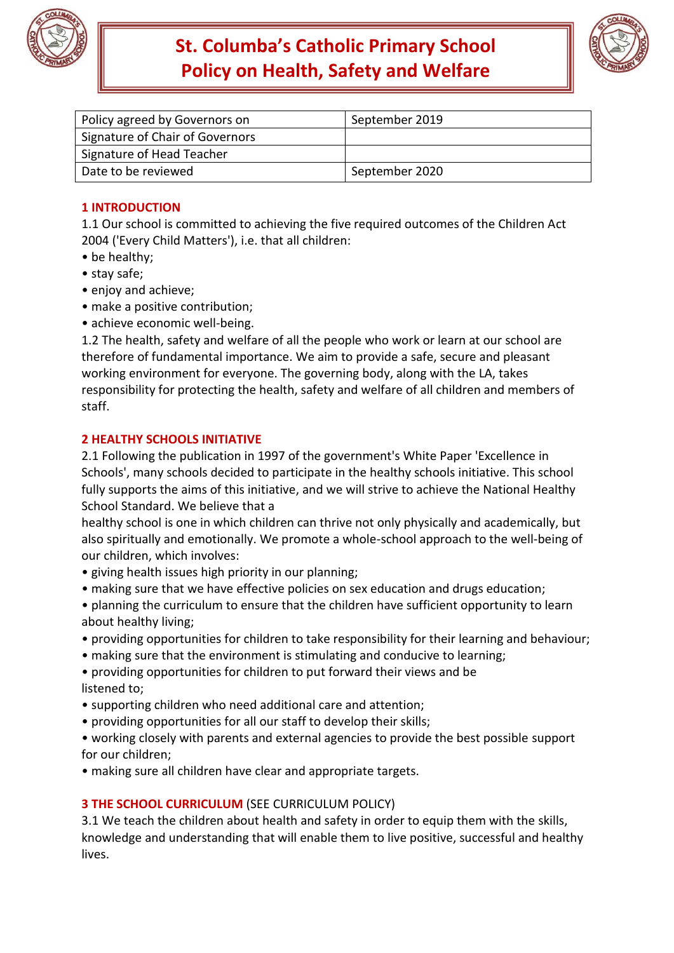

# **St. Columba's Catholic Primary School Policy on Health, Safety and Welfare**



| Policy agreed by Governors on   | September 2019 |
|---------------------------------|----------------|
| Signature of Chair of Governors |                |
| Signature of Head Teacher       |                |
| Date to be reviewed             | September 2020 |

# **1 INTRODUCTION**

1.1 Our school is committed to achieving the five required outcomes of the Children Act 2004 ('Every Child Matters'), i.e. that all children:

- be healthy;
- stay safe;
- enjoy and achieve;
- make a positive contribution;
- achieve economic well-being.

1.2 The health, safety and welfare of all the people who work or learn at our school are therefore of fundamental importance. We aim to provide a safe, secure and pleasant working environment for everyone. The governing body, along with the LA, takes responsibility for protecting the health, safety and welfare of all children and members of staff.

# **2 HEALTHY SCHOOLS INITIATIVE**

2.1 Following the publication in 1997 of the government's White Paper 'Excellence in Schools', many schools decided to participate in the healthy schools initiative. This school fully supports the aims of this initiative, and we will strive to achieve the National Healthy School Standard. We believe that a

healthy school is one in which children can thrive not only physically and academically, but also spiritually and emotionally. We promote a whole-school approach to the well-being of our children, which involves:

- giving health issues high priority in our planning;
- making sure that we have effective policies on sex education and drugs education;
- planning the curriculum to ensure that the children have sufficient opportunity to learn about healthy living;
- providing opportunities for children to take responsibility for their learning and behaviour;
- making sure that the environment is stimulating and conducive to learning;
- providing opportunities for children to put forward their views and be listened to;
- supporting children who need additional care and attention;
- providing opportunities for all our staff to develop their skills;
- working closely with parents and external agencies to provide the best possible support for our children;
- making sure all children have clear and appropriate targets.

# **3 THE SCHOOL CURRICULUM** (SEE CURRICULUM POLICY)

3.1 We teach the children about health and safety in order to equip them with the skills, knowledge and understanding that will enable them to live positive, successful and healthy lives.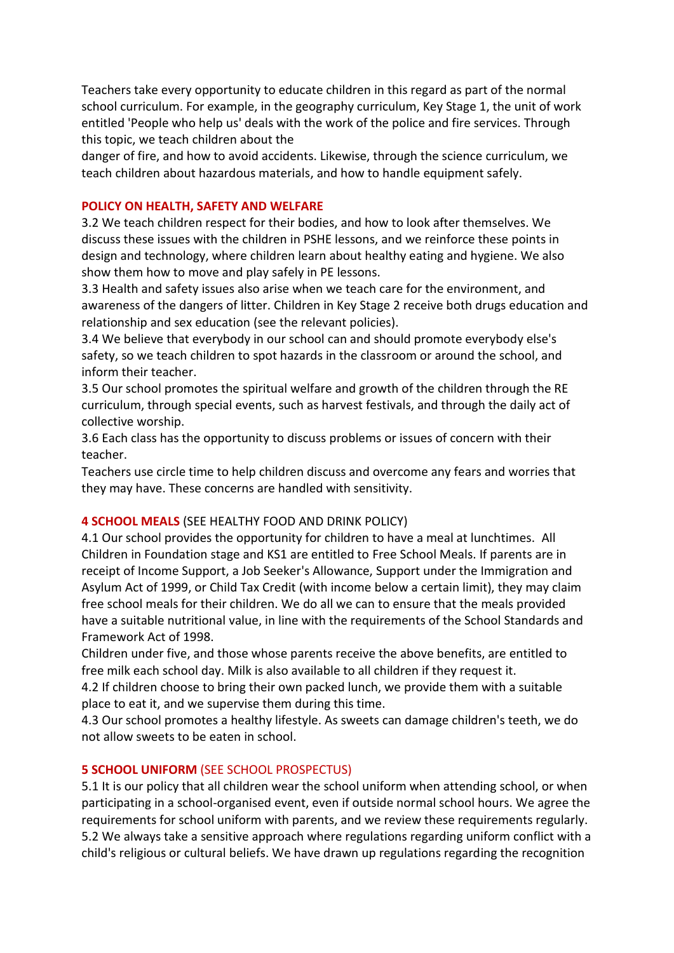Teachers take every opportunity to educate children in this regard as part of the normal school curriculum. For example, in the geography curriculum, Key Stage 1, the unit of work entitled 'People who help us' deals with the work of the police and fire services. Through this topic, we teach children about the

danger of fire, and how to avoid accidents. Likewise, through the science curriculum, we teach children about hazardous materials, and how to handle equipment safely.

#### **POLICY ON HEALTH, SAFETY AND WELFARE**

3.2 We teach children respect for their bodies, and how to look after themselves. We discuss these issues with the children in PSHE lessons, and we reinforce these points in design and technology, where children learn about healthy eating and hygiene. We also show them how to move and play safely in PE lessons.

3.3 Health and safety issues also arise when we teach care for the environment, and awareness of the dangers of litter. Children in Key Stage 2 receive both drugs education and relationship and sex education (see the relevant policies).

3.4 We believe that everybody in our school can and should promote everybody else's safety, so we teach children to spot hazards in the classroom or around the school, and inform their teacher.

3.5 Our school promotes the spiritual welfare and growth of the children through the RE curriculum, through special events, such as harvest festivals, and through the daily act of collective worship.

3.6 Each class has the opportunity to discuss problems or issues of concern with their teacher.

Teachers use circle time to help children discuss and overcome any fears and worries that they may have. These concerns are handled with sensitivity.

# **4 SCHOOL MEALS** (SEE HEALTHY FOOD AND DRINK POLICY)

4.1 Our school provides the opportunity for children to have a meal at lunchtimes. All Children in Foundation stage and KS1 are entitled to Free School Meals. If parents are in receipt of Income Support, a Job Seeker's Allowance, Support under the Immigration and Asylum Act of 1999, or Child Tax Credit (with income below a certain limit), they may claim free school meals for their children. We do all we can to ensure that the meals provided have a suitable nutritional value, in line with the requirements of the School Standards and Framework Act of 1998.

Children under five, and those whose parents receive the above benefits, are entitled to free milk each school day. Milk is also available to all children if they request it.

4.2 If children choose to bring their own packed lunch, we provide them with a suitable place to eat it, and we supervise them during this time.

4.3 Our school promotes a healthy lifestyle. As sweets can damage children's teeth, we do not allow sweets to be eaten in school.

#### **5 SCHOOL UNIFORM** (SEE SCHOOL PROSPECTUS)

5.1 It is our policy that all children wear the school uniform when attending school, or when participating in a school-organised event, even if outside normal school hours. We agree the requirements for school uniform with parents, and we review these requirements regularly. 5.2 We always take a sensitive approach where regulations regarding uniform conflict with a child's religious or cultural beliefs. We have drawn up regulations regarding the recognition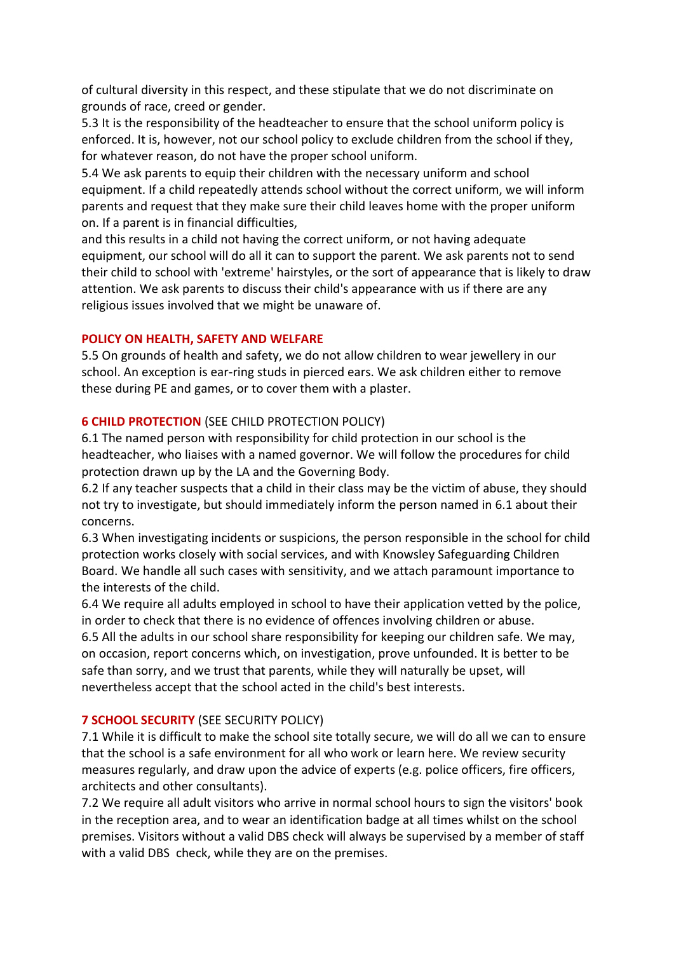of cultural diversity in this respect, and these stipulate that we do not discriminate on grounds of race, creed or gender.

5.3 It is the responsibility of the headteacher to ensure that the school uniform policy is enforced. It is, however, not our school policy to exclude children from the school if they, for whatever reason, do not have the proper school uniform.

5.4 We ask parents to equip their children with the necessary uniform and school equipment. If a child repeatedly attends school without the correct uniform, we will inform parents and request that they make sure their child leaves home with the proper uniform on. If a parent is in financial difficulties,

and this results in a child not having the correct uniform, or not having adequate equipment, our school will do all it can to support the parent. We ask parents not to send their child to school with 'extreme' hairstyles, or the sort of appearance that is likely to draw attention. We ask parents to discuss their child's appearance with us if there are any religious issues involved that we might be unaware of.

# **POLICY ON HEALTH, SAFETY AND WELFARE**

5.5 On grounds of health and safety, we do not allow children to wear jewellery in our school. An exception is ear-ring studs in pierced ears. We ask children either to remove these during PE and games, or to cover them with a plaster.

# **6 CHILD PROTECTION** (SEE CHILD PROTECTION POLICY)

6.1 The named person with responsibility for child protection in our school is the headteacher, who liaises with a named governor. We will follow the procedures for child protection drawn up by the LA and the Governing Body.

6.2 If any teacher suspects that a child in their class may be the victim of abuse, they should not try to investigate, but should immediately inform the person named in 6.1 about their concerns.

6.3 When investigating incidents or suspicions, the person responsible in the school for child protection works closely with social services, and with Knowsley Safeguarding Children Board. We handle all such cases with sensitivity, and we attach paramount importance to the interests of the child.

6.4 We require all adults employed in school to have their application vetted by the police, in order to check that there is no evidence of offences involving children or abuse. 6.5 All the adults in our school share responsibility for keeping our children safe. We may, on occasion, report concerns which, on investigation, prove unfounded. It is better to be

safe than sorry, and we trust that parents, while they will naturally be upset, will nevertheless accept that the school acted in the child's best interests.

# **7 SCHOOL SECURITY** (SEE SECURITY POLICY)

7.1 While it is difficult to make the school site totally secure, we will do all we can to ensure that the school is a safe environment for all who work or learn here. We review security measures regularly, and draw upon the advice of experts (e.g. police officers, fire officers, architects and other consultants).

7.2 We require all adult visitors who arrive in normal school hours to sign the visitors' book in the reception area, and to wear an identification badge at all times whilst on the school premises. Visitors without a valid DBS check will always be supervised by a member of staff with a valid DBS check, while they are on the premises.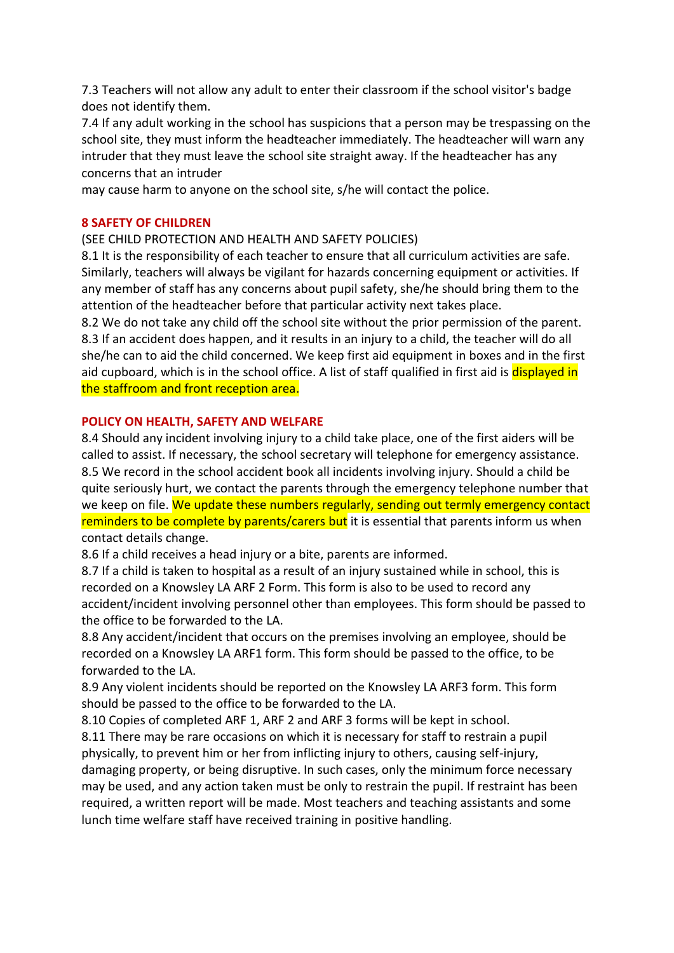7.3 Teachers will not allow any adult to enter their classroom if the school visitor's badge does not identify them.

7.4 If any adult working in the school has suspicions that a person may be trespassing on the school site, they must inform the headteacher immediately. The headteacher will warn any intruder that they must leave the school site straight away. If the headteacher has any concerns that an intruder

may cause harm to anyone on the school site, s/he will contact the police.

#### **8 SAFETY OF CHILDREN**

# (SEE CHILD PROTECTION AND HEALTH AND SAFETY POLICIES)

8.1 It is the responsibility of each teacher to ensure that all curriculum activities are safe. Similarly, teachers will always be vigilant for hazards concerning equipment or activities. If any member of staff has any concerns about pupil safety, she/he should bring them to the attention of the headteacher before that particular activity next takes place.

8.2 We do not take any child off the school site without the prior permission of the parent. 8.3 If an accident does happen, and it results in an injury to a child, the teacher will do all she/he can to aid the child concerned. We keep first aid equipment in boxes and in the first aid cupboard, which is in the school office. A list of staff qualified in first aid is **displayed in** the staffroom and front reception area.

#### **POLICY ON HEALTH, SAFETY AND WELFARE**

8.4 Should any incident involving injury to a child take place, one of the first aiders will be called to assist. If necessary, the school secretary will telephone for emergency assistance. 8.5 We record in the school accident book all incidents involving injury. Should a child be quite seriously hurt, we contact the parents through the emergency telephone number that we keep on file. We update these numbers regularly, sending out termly emergency contact reminders to be complete by parents/carers but it is essential that parents inform us when contact details change.

8.6 If a child receives a head injury or a bite, parents are informed.

8.7 If a child is taken to hospital as a result of an injury sustained while in school, this is recorded on a Knowsley LA ARF 2 Form. This form is also to be used to record any accident/incident involving personnel other than employees. This form should be passed to the office to be forwarded to the LA.

8.8 Any accident/incident that occurs on the premises involving an employee, should be recorded on a Knowsley LA ARF1 form. This form should be passed to the office, to be forwarded to the LA.

8.9 Any violent incidents should be reported on the Knowsley LA ARF3 form. This form should be passed to the office to be forwarded to the LA.

8.10 Copies of completed ARF 1, ARF 2 and ARF 3 forms will be kept in school.

8.11 There may be rare occasions on which it is necessary for staff to restrain a pupil physically, to prevent him or her from inflicting injury to others, causing self-injury, damaging property, or being disruptive. In such cases, only the minimum force necessary may be used, and any action taken must be only to restrain the pupil. If restraint has been required, a written report will be made. Most teachers and teaching assistants and some lunch time welfare staff have received training in positive handling.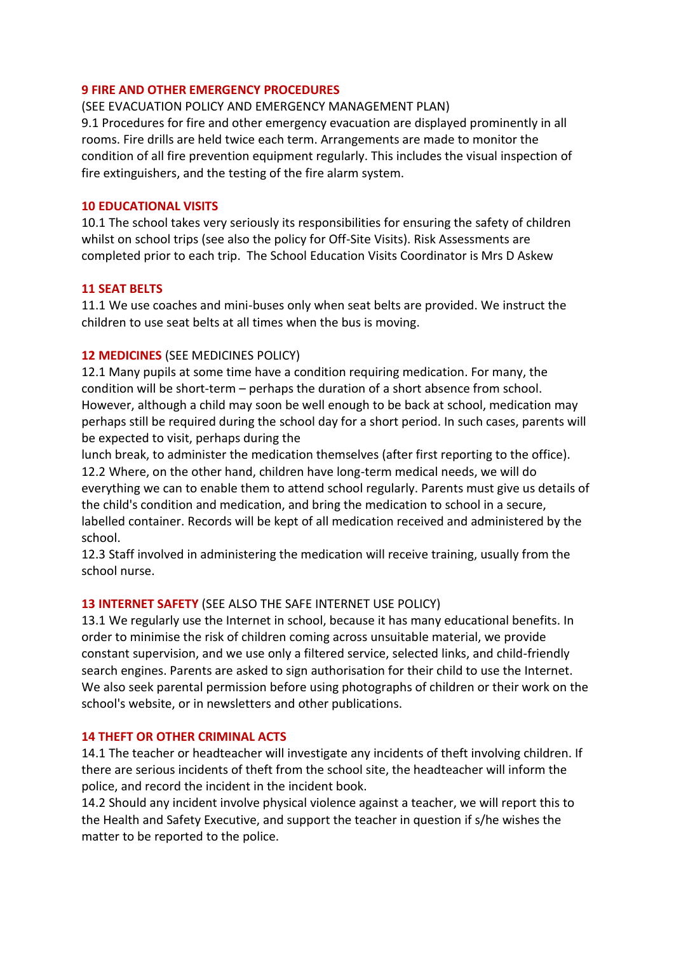#### **9 FIRE AND OTHER EMERGENCY PROCEDURES**

(SEE EVACUATION POLICY AND EMERGENCY MANAGEMENT PLAN)

9.1 Procedures for fire and other emergency evacuation are displayed prominently in all rooms. Fire drills are held twice each term. Arrangements are made to monitor the condition of all fire prevention equipment regularly. This includes the visual inspection of fire extinguishers, and the testing of the fire alarm system.

#### **10 EDUCATIONAL VISITS**

10.1 The school takes very seriously its responsibilities for ensuring the safety of children whilst on school trips (see also the policy for Off-Site Visits). Risk Assessments are completed prior to each trip. The School Education Visits Coordinator is Mrs D Askew

#### **11 SEAT BELTS**

11.1 We use coaches and mini-buses only when seat belts are provided. We instruct the children to use seat belts at all times when the bus is moving.

# **12 MEDICINES** (SEE MEDICINES POLICY)

12.1 Many pupils at some time have a condition requiring medication. For many, the condition will be short-term – perhaps the duration of a short absence from school. However, although a child may soon be well enough to be back at school, medication may perhaps still be required during the school day for a short period. In such cases, parents will be expected to visit, perhaps during the

lunch break, to administer the medication themselves (after first reporting to the office). 12.2 Where, on the other hand, children have long-term medical needs, we will do everything we can to enable them to attend school regularly. Parents must give us details of the child's condition and medication, and bring the medication to school in a secure, labelled container. Records will be kept of all medication received and administered by the school.

12.3 Staff involved in administering the medication will receive training, usually from the school nurse.

# **13 INTERNET SAFETY** (SEE ALSO THE SAFE INTERNET USE POLICY)

13.1 We regularly use the Internet in school, because it has many educational benefits. In order to minimise the risk of children coming across unsuitable material, we provide constant supervision, and we use only a filtered service, selected links, and child-friendly search engines. Parents are asked to sign authorisation for their child to use the Internet. We also seek parental permission before using photographs of children or their work on the school's website, or in newsletters and other publications.

# **14 THEFT OR OTHER CRIMINAL ACTS**

14.1 The teacher or headteacher will investigate any incidents of theft involving children. If there are serious incidents of theft from the school site, the headteacher will inform the police, and record the incident in the incident book.

14.2 Should any incident involve physical violence against a teacher, we will report this to the Health and Safety Executive, and support the teacher in question if s/he wishes the matter to be reported to the police.